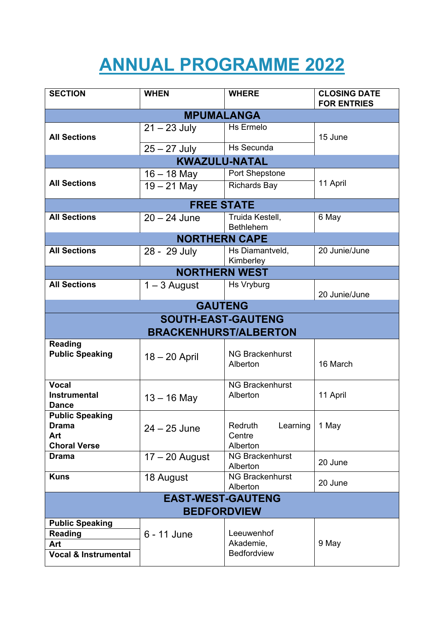## **ANNUAL PROGRAMME 2022**

| <b>SECTION</b>                                                       | <b>WHEN</b>                  | <b>WHERE</b>                              | <b>CLOSING DATE</b><br><b>FOR ENTRIES</b> |
|----------------------------------------------------------------------|------------------------------|-------------------------------------------|-------------------------------------------|
|                                                                      | <b>MPUMALANGA</b>            |                                           |                                           |
| <b>All Sections</b>                                                  | $21 - 23$ July               | Hs Ermelo                                 | 15 June                                   |
|                                                                      | $25 - 27$ July               | <b>Hs Secunda</b>                         |                                           |
|                                                                      | <b>KWAZULU-NATAL</b>         |                                           |                                           |
|                                                                      | $16 - 18$ May                | Port Shepstone                            |                                           |
| <b>All Sections</b>                                                  | $19 - 21$ May                | <b>Richards Bay</b>                       | 11 April                                  |
|                                                                      | <b>FREE STATE</b>            |                                           |                                           |
| <b>All Sections</b>                                                  | $20 - 24$ June               | Truida Kestell,<br><b>Bethlehem</b>       | 6 May                                     |
|                                                                      | <b>NORTHERN CAPE</b>         |                                           |                                           |
| <b>All Sections</b>                                                  | 28 - 29 July                 | Hs Diamantveld,<br>Kimberley              | 20 Junie/June                             |
|                                                                      | <b>NORTHERN WEST</b>         |                                           |                                           |
| <b>All Sections</b>                                                  | $1 - 3$ August               | Hs Vryburg                                | 20 Junie/June                             |
|                                                                      | <b>GAUTENG</b>               |                                           |                                           |
|                                                                      | <b>SOUTH-EAST-GAUTENG</b>    |                                           |                                           |
|                                                                      | <b>BRACKENHURST/ALBERTON</b> |                                           |                                           |
| <b>Reading</b><br><b>Public Speaking</b>                             | $18 - 20$ April              | <b>NG Brackenhurst</b><br>Alberton        | 16 March                                  |
| <b>Vocal</b><br><b>Instrumental</b><br><b>Dance</b>                  | $13 - 16$ May                | <b>NG Brackenhurst</b><br>Alberton        | 11 April                                  |
| <b>Public Speaking</b><br><b>Drama</b><br>Art<br><b>Choral Verse</b> | $24 - 25$ June               | Redruth<br>Learning<br>Centre<br>Alberton | 1 May                                     |
| <b>Drama</b>                                                         | $17 - 20$ August             | <b>NG Brackenhurst</b><br>Alberton        | 20 June                                   |
| <b>Kuns</b>                                                          | 18 August                    | <b>NG Brackenhurst</b><br>Alberton        | 20 June                                   |
| <b>EAST-WEST-GAUTENG</b><br><b>BEDFORDVIEW</b>                       |                              |                                           |                                           |
| <b>Public Speaking</b>                                               |                              |                                           |                                           |
| <b>Reading</b>                                                       | 6 - 11 June                  | Leeuwenhof                                |                                           |
| Art                                                                  |                              | Akademie,                                 | 9 May                                     |
| <b>Vocal &amp; Instrumental</b>                                      |                              | Bedfordview                               |                                           |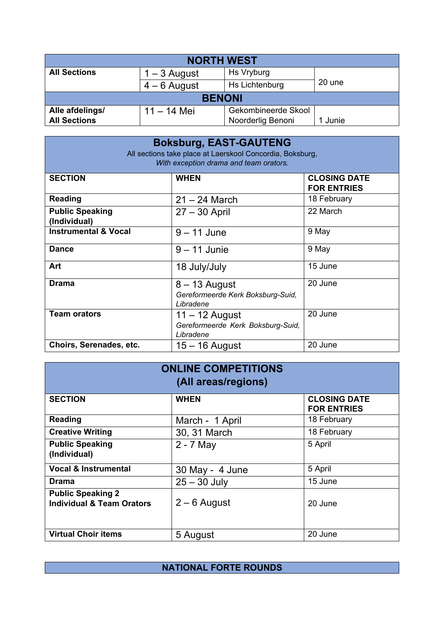| <b>NORTH WEST</b>   |                |                     |         |  |
|---------------------|----------------|---------------------|---------|--|
| <b>All Sections</b> | 1 – 3 August   | Hs Vryburg          |         |  |
|                     | $4 - 6$ August | Hs Lichtenburg      | 20 une  |  |
| <b>BENONI</b>       |                |                     |         |  |
| Alle afdelings/     | $11 - 14$ Mei  | Gekombineerde Skool |         |  |
| <b>All Sections</b> |                | Noorderlig Benoni   | 1 Junie |  |

| <b>Boksburg, EAST-GAUTENG</b><br>All sections take place at Laerskool Concordia, Boksburg,<br>With exception drama and team orators. |                                                                    |                                           |  |
|--------------------------------------------------------------------------------------------------------------------------------------|--------------------------------------------------------------------|-------------------------------------------|--|
| <b>SECTION</b>                                                                                                                       | <b>WHEN</b>                                                        | <b>CLOSING DATE</b><br><b>FOR ENTRIES</b> |  |
| <b>Reading</b>                                                                                                                       | $21 - 24$ March                                                    | 18 February                               |  |
| <b>Public Speaking</b><br>(Individual)                                                                                               | $27 - 30$ April                                                    | 22 March                                  |  |
| <b>Instrumental &amp; Vocal</b>                                                                                                      | $9 - 11$ June                                                      | 9 May                                     |  |
| <b>Dance</b>                                                                                                                         | $9 - 11$ Junie                                                     | 9 May                                     |  |
| Art                                                                                                                                  | 18 July/July                                                       | 15 June                                   |  |
| <b>Drama</b>                                                                                                                         | $8 - 13$ August<br>Gereformeerde Kerk Boksburg-Suid,<br>Libradene  | 20 June                                   |  |
| <b>Team orators</b>                                                                                                                  | $11 - 12$ August<br>Gereformeerde Kerk Boksburg-Suid,<br>Libradene | 20 June                                   |  |
| Choirs, Serenades, etc.                                                                                                              | $15 - 16$ August                                                   | 20 June                                   |  |

| <b>ONLINE COMPETITIONS</b><br>(All areas/regions)                |                 |                                           |  |
|------------------------------------------------------------------|-----------------|-------------------------------------------|--|
| <b>SECTION</b>                                                   | <b>WHEN</b>     | <b>CLOSING DATE</b><br><b>FOR ENTRIES</b> |  |
| <b>Reading</b>                                                   | March - 1 April | 18 February                               |  |
| <b>Creative Writing</b>                                          | 30, 31 March    | 18 February                               |  |
| <b>Public Speaking</b><br>(Individual)                           | $2 - 7$ May     | 5 April                                   |  |
| <b>Vocal &amp; Instrumental</b>                                  | 30 May - 4 June | 5 April                                   |  |
| <b>Drama</b>                                                     | $25 - 30$ July  | 15 June                                   |  |
| <b>Public Speaking 2</b><br><b>Individual &amp; Team Orators</b> | $2 - 6$ August  | 20 June                                   |  |
| <b>Virtual Choir items</b>                                       | 5 August        | 20 June                                   |  |